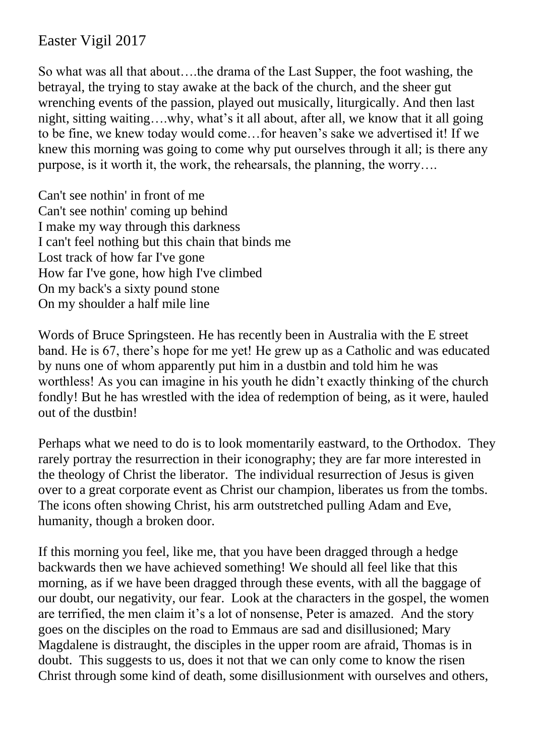## Easter Vigil 2017

So what was all that about….the drama of the Last Supper, the foot washing, the betrayal, the trying to stay awake at the back of the church, and the sheer gut wrenching events of the passion, played out musically, liturgically. And then last night, sitting waiting….why, what's it all about, after all, we know that it all going to be fine, we knew today would come…for heaven's sake we advertised it! If we knew this morning was going to come why put ourselves through it all; is there any purpose, is it worth it, the work, the rehearsals, the planning, the worry….

Can't see nothin' in front of me Can't see nothin' coming up behind I make my way through this darkness I can't feel nothing but this chain that binds me Lost track of how far I've gone How far I've gone, how high I've climbed On my back's a sixty pound stone On my shoulder a half mile line

Words of Bruce Springsteen. He has recently been in Australia with the E street band. He is 67, there's hope for me yet! He grew up as a Catholic and was educated by nuns one of whom apparently put him in a dustbin and told him he was worthless! As you can imagine in his youth he didn't exactly thinking of the church fondly! But he has wrestled with the idea of redemption of being, as it were, hauled out of the dustbin!

Perhaps what we need to do is to look momentarily eastward, to the Orthodox. They rarely portray the resurrection in their iconography; they are far more interested in the theology of Christ the liberator. The individual resurrection of Jesus is given over to a great corporate event as Christ our champion, liberates us from the tombs. The icons often showing Christ, his arm outstretched pulling Adam and Eve, humanity, though a broken door.

If this morning you feel, like me, that you have been dragged through a hedge backwards then we have achieved something! We should all feel like that this morning, as if we have been dragged through these events, with all the baggage of our doubt, our negativity, our fear. Look at the characters in the gospel, the women are terrified, the men claim it's a lot of nonsense, Peter is amazed. And the story goes on the disciples on the road to Emmaus are sad and disillusioned; Mary Magdalene is distraught, the disciples in the upper room are afraid, Thomas is in doubt. This suggests to us, does it not that we can only come to know the risen Christ through some kind of death, some disillusionment with ourselves and others,